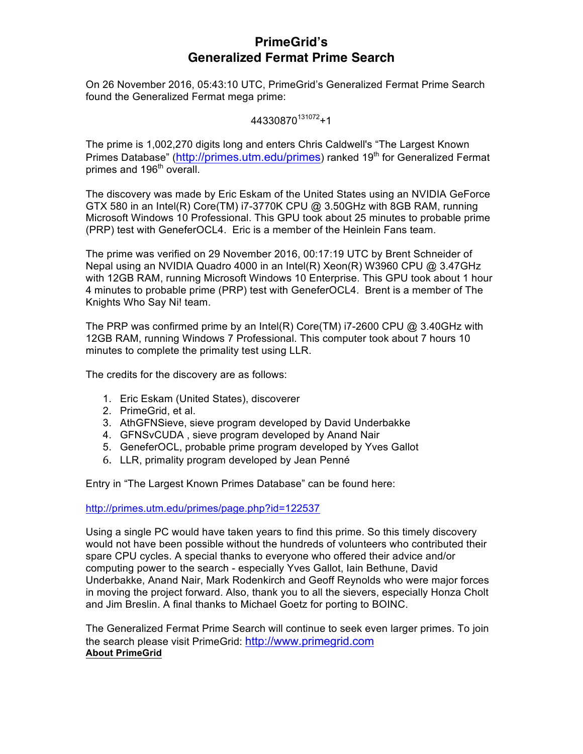## **PrimeGrid's Generalized Fermat Prime Search**

On 26 November 2016, 05:43:10 UTC, PrimeGrid's Generalized Fermat Prime Search found the Generalized Fermat mega prime:

44330870131072+1

The prime is 1,002,270 digits long and enters Chris Caldwell's "The Largest Known Primes Database" (http://primes.utm.edu/primes) ranked 19<sup>th</sup> for Generalized Fermat primes and 196<sup>th</sup> overall.

The discovery was made by Eric Eskam of the United States using an NVIDIA GeForce GTX 580 in an Intel(R) Core(TM) i7-3770K CPU @ 3.50GHz with 8GB RAM, running Microsoft Windows 10 Professional. This GPU took about 25 minutes to probable prime (PRP) test with GeneferOCL4. Eric is a member of the Heinlein Fans team.

The prime was verified on 29 November 2016, 00:17:19 UTC by Brent Schneider of Nepal using an NVIDIA Quadro 4000 in an Intel(R) Xeon(R) W3960 CPU @ 3.47GHz with 12GB RAM, running Microsoft Windows 10 Enterprise. This GPU took about 1 hour 4 minutes to probable prime (PRP) test with GeneferOCL4. Brent is a member of The Knights Who Say Ni! team.

The PRP was confirmed prime by an Intel(R) Core(TM) i7-2600 CPU @ 3.40GHz with 12GB RAM, running Windows 7 Professional. This computer took about 7 hours 10 minutes to complete the primality test using LLR.

The credits for the discovery are as follows:

- 1. Eric Eskam (United States), discoverer
- 2. PrimeGrid, et al.
- 3. AthGFNSieve, sieve program developed by David Underbakke
- 4. GFNSvCUDA , sieve program developed by Anand Nair
- 5. GeneferOCL, probable prime program developed by Yves Gallot
- 6. LLR, primality program developed by Jean Penné

Entry in "The Largest Known Primes Database" can be found here:

http://primes.utm.edu/primes/page.php?id=122537

Using a single PC would have taken years to find this prime. So this timely discovery would not have been possible without the hundreds of volunteers who contributed their spare CPU cycles. A special thanks to everyone who offered their advice and/or computing power to the search - especially Yves Gallot, Iain Bethune, David Underbakke, Anand Nair, Mark Rodenkirch and Geoff Reynolds who were major forces in moving the project forward. Also, thank you to all the sievers, especially Honza Cholt and Jim Breslin. A final thanks to Michael Goetz for porting to BOINC.

The Generalized Fermat Prime Search will continue to seek even larger primes. To join the search please visit PrimeGrid: http://www.primegrid.com **About PrimeGrid**